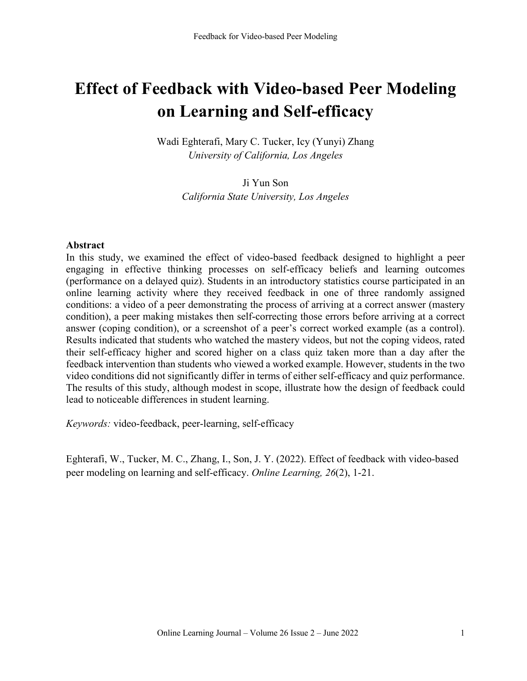# **Effect of Feedback with Video-based Peer Modeling on Learning and Self-efficacy**

Wadi Eghterafi, Mary C. Tucker, Icy (Yunyi) Zhang *University of California, Los Angeles*

> Ji Yun Son *California State University, Los Angeles*

#### **Abstract**

In this study, we examined the effect of video-based feedback designed to highlight a peer engaging in effective thinking processes on self-efficacy beliefs and learning outcomes (performance on a delayed quiz). Students in an introductory statistics course participated in an online learning activity where they received feedback in one of three randomly assigned conditions: a video of a peer demonstrating the process of arriving at a correct answer (mastery condition), a peer making mistakes then self-correcting those errors before arriving at a correct answer (coping condition), or a screenshot of a peer's correct worked example (as a control). Results indicated that students who watched the mastery videos, but not the coping videos, rated their self-efficacy higher and scored higher on a class quiz taken more than a day after the feedback intervention than students who viewed a worked example. However, students in the two video conditions did not significantly differ in terms of either self-efficacy and quiz performance. The results of this study, although modest in scope, illustrate how the design of feedback could lead to noticeable differences in student learning.

*Keywords:* video-feedback, peer-learning, self-efficacy

Eghterafi, W., Tucker, M. C., Zhang, I., Son, J. Y. (2022). Effect of feedback with video-based peer modeling on learning and self-efficacy. *Online Learning, 26*(2), 1-21.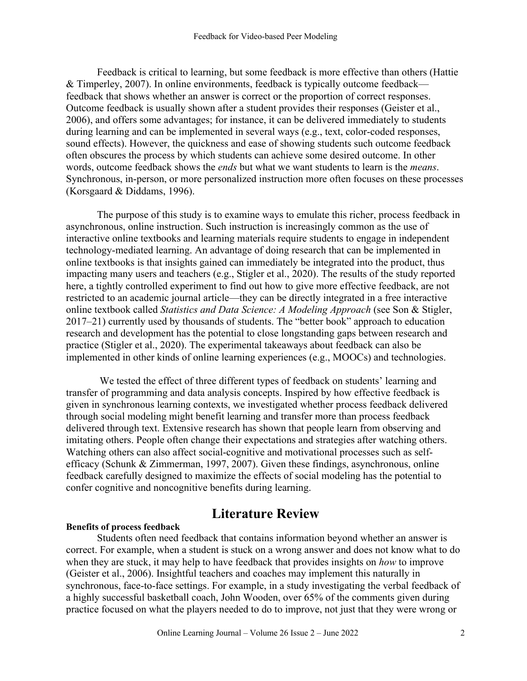Feedback is critical to learning, but some feedback is more effective than others (Hattie & Timperley, 2007). In online environments, feedback is typically outcome feedback feedback that shows whether an answer is correct or the proportion of correct responses. Outcome feedback is usually shown after a student provides their responses (Geister et al., 2006), and offers some advantages; for instance, it can be delivered immediately to students during learning and can be implemented in several ways (e.g., text, color-coded responses, sound effects). However, the quickness and ease of showing students such outcome feedback often obscures the process by which students can achieve some desired outcome. In other words, outcome feedback shows the *ends* but what we want students to learn is the *means*. Synchronous, in-person, or more personalized instruction more often focuses on these processes (Korsgaard & Diddams, 1996).

The purpose of this study is to examine ways to emulate this richer, process feedback in asynchronous, online instruction. Such instruction is increasingly common as the use of interactive online textbooks and learning materials require students to engage in independent technology-mediated learning. An advantage of doing research that can be implemented in online textbooks is that insights gained can immediately be integrated into the product, thus impacting many users and teachers (e.g., Stigler et al., 2020). The results of the study reported here, a tightly controlled experiment to find out how to give more effective feedback, are not restricted to an academic journal article—they can be directly integrated in a free interactive online textbook called *Statistics and Data Science: A Modeling Approach* (see Son & Stigler, 2017–21) currently used by thousands of students. The "better book" approach to education research and development has the potential to close longstanding gaps between research and practice (Stigler et al., 2020). The experimental takeaways about feedback can also be implemented in other kinds of online learning experiences (e.g., MOOCs) and technologies.

We tested the effect of three different types of feedback on students' learning and transfer of programming and data analysis concepts. Inspired by how effective feedback is given in synchronous learning contexts, we investigated whether process feedback delivered through social modeling might benefit learning and transfer more than process feedback delivered through text. Extensive research has shown that people learn from observing and imitating others. People often change their expectations and strategies after watching others. Watching others can also affect social-cognitive and motivational processes such as selfefficacy (Schunk & Zimmerman, 1997, 2007). Given these findings, asynchronous, online feedback carefully designed to maximize the effects of social modeling has the potential to confer cognitive and noncognitive benefits during learning.

#### **Benefits of process feedback**

# **Literature Review**

Students often need feedback that contains information beyond whether an answer is correct. For example, when a student is stuck on a wrong answer and does not know what to do when they are stuck, it may help to have feedback that provides insights on *how* to improve (Geister et al., 2006). Insightful teachers and coaches may implement this naturally in synchronous, face-to-face settings. For example, in a study investigating the verbal feedback of a highly successful basketball coach, John Wooden, over 65% of the comments given during practice focused on what the players needed to do to improve, not just that they were wrong or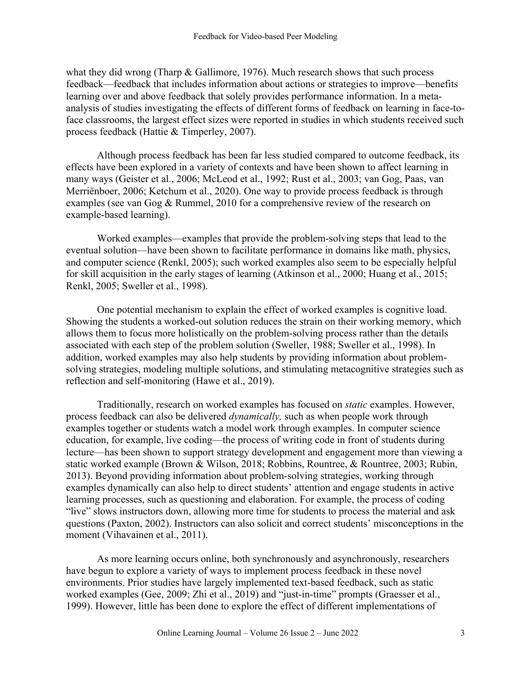what they did wrong (Tharp  $\&$  Gallimore, 1976). Much research shows that such process feedback—feedback that includes information about actions or strategies to improve—benefits learning over and above feedback that solely provides performance information. In a metaanalysis of studies investigating the effects of different forms of feedback on learning in face-toface classrooms, the largest effect sizes were reported in studies in which students received such process feedback (Hattie & Timperley, 2007).

Although process feedback has been far less studied compared to outcome feedback, its effects have been explored in a variety of contexts and have been shown to affect learning in many ways (Geister et al., 2006; McLeod et al., 1992; Rust et al., 2003; van Gog, Paas, van Merriënboer, 2006; Ketchum et al., 2020). One way to provide process feedback is through examples (see van Gog & Rummel, 2010 for a comprehensive review of the research on example-based learning).

Worked examples—examples that provide the problem-solving steps that lead to the eventual solution—have been shown to facilitate performance in domains like math, physics, and computer science (Renkl, 2005); such worked examples also seem to be especially helpful for skill acquisition in the early stages of learning (Atkinson et al., 2000; Huang et al., 2015; Renkl, 2005; Sweller et al., 1998).

One potential mechanism to explain the effect of worked examples is cognitive load. Showing the students a worked-out solution reduces the strain on their working memory, which allows them to focus more holistically on the problem-solving process rather than the details associated with each step of the problem solution (Sweller, 1988; Sweller et al., 1998). In addition, worked examples may also help students by providing information about problemsolving strategies, modeling multiple solutions, and stimulating metacognitive strategies such as reflection and self-monitoring (Hawe et al., 2019).

Traditionally, research on worked examples has focused on *static* examples. However, process feedback can also be delivered *dynamically,* such as when people work through examples together or students watch a model work through examples. In computer science education, for example, live coding—the process of writing code in front of students during lecture—has been shown to support strategy development and engagement more than viewing a static worked example (Brown & Wilson, 2018; Robbins, Rountree, & Rountree, 2003; Rubin, 2013). Beyond providing information about problem-solving strategies, working through examples dynamically can also help to direct students' attention and engage students in active learning processes, such as questioning and elaboration. For example, the process of coding "live" slows instructors down, allowing more time for students to process the material and ask questions (Paxton, 2002). Instructors can also solicit and correct students' misconceptions in the moment (Vihavainen et al., 2011).

As more learning occurs online, both synchronously and asynchronously, researchers have begun to explore a variety of ways to implement process feedback in these novel environments. Prior studies have largely implemented text-based feedback, such as static worked examples (Gee, 2009; Zhi et al., 2019) and "just-in-time" prompts (Graesser et al., 1999). However, little has been done to explore the effect of different implementations of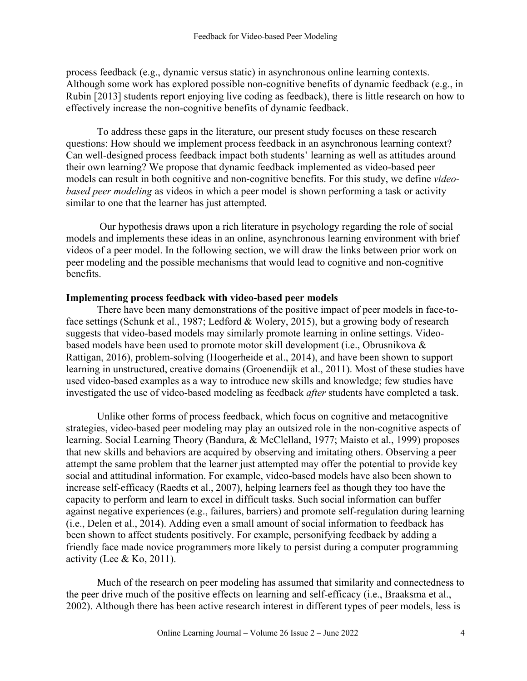process feedback (e.g., dynamic versus static) in asynchronous online learning contexts. Although some work has explored possible non-cognitive benefits of dynamic feedback (e.g., in Rubin [2013] students report enjoying live coding as feedback), there is little research on how to effectively increase the non-cognitive benefits of dynamic feedback.

To address these gaps in the literature, our present study focuses on these research questions: How should we implement process feedback in an asynchronous learning context? Can well-designed process feedback impact both students' learning as well as attitudes around their own learning? We propose that dynamic feedback implemented as video-based peer models can result in both cognitive and non-cognitive benefits. For this study, we define *videobased peer modeling* as videos in which a peer model is shown performing a task or activity similar to one that the learner has just attempted.

Our hypothesis draws upon a rich literature in psychology regarding the role of social models and implements these ideas in an online, asynchronous learning environment with brief videos of a peer model. In the following section, we will draw the links between prior work on peer modeling and the possible mechanisms that would lead to cognitive and non-cognitive benefits.

#### **Implementing process feedback with video-based peer models**

There have been many demonstrations of the positive impact of peer models in face-toface settings (Schunk et al., 1987; Ledford & Wolery, 2015), but a growing body of research suggests that video-based models may similarly promote learning in online settings. Videobased models have been used to promote motor skill development (i.e., Obrusnikova & Rattigan, 2016), problem-solving (Hoogerheide et al., 2014), and have been shown to support learning in unstructured, creative domains (Groenendijk et al., 2011). Most of these studies have used video-based examples as a way to introduce new skills and knowledge; few studies have investigated the use of video-based modeling as feedback *after* students have completed a task.

Unlike other forms of process feedback, which focus on cognitive and metacognitive strategies, video-based peer modeling may play an outsized role in the non-cognitive aspects of learning. Social Learning Theory (Bandura, & McClelland, 1977; Maisto et al., 1999) proposes that new skills and behaviors are acquired by observing and imitating others. Observing a peer attempt the same problem that the learner just attempted may offer the potential to provide key social and attitudinal information. For example, video-based models have also been shown to increase self-efficacy (Raedts et al., 2007), helping learners feel as though they too have the capacity to perform and learn to excel in difficult tasks. Such social information can buffer against negative experiences (e.g., failures, barriers) and promote self-regulation during learning (i.e., Delen et al., 2014). Adding even a small amount of social information to feedback has been shown to affect students positively. For example, personifying feedback by adding a friendly face made novice programmers more likely to persist during a computer programming activity (Lee & Ko, 2011).

Much of the research on peer modeling has assumed that similarity and connectedness to the peer drive much of the positive effects on learning and self-efficacy (i.e., Braaksma et al., 2002). Although there has been active research interest in different types of peer models, less is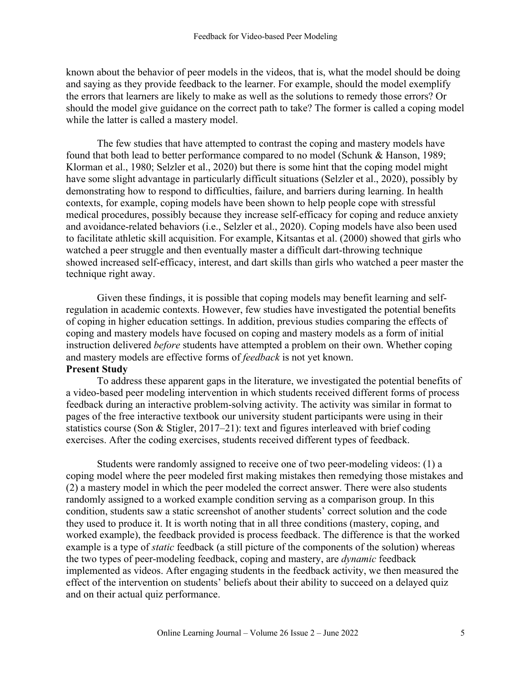known about the behavior of peer models in the videos, that is, what the model should be doing and saying as they provide feedback to the learner. For example, should the model exemplify the errors that learners are likely to make as well as the solutions to remedy those errors? Or should the model give guidance on the correct path to take? The former is called a coping model while the latter is called a mastery model.

The few studies that have attempted to contrast the coping and mastery models have found that both lead to better performance compared to no model (Schunk & Hanson, 1989; Klorman et al., 1980; Selzler et al., 2020) but there is some hint that the coping model might have some slight advantage in particularly difficult situations (Selzler et al., 2020), possibly by demonstrating how to respond to difficulties, failure, and barriers during learning. In health contexts, for example, coping models have been shown to help people cope with stressful medical procedures, possibly because they increase self-efficacy for coping and reduce anxiety and avoidance-related behaviors (i.e., Selzler et al., 2020). Coping models have also been used to facilitate athletic skill acquisition. For example, Kitsantas et al. (2000) showed that girls who watched a peer struggle and then eventually master a difficult dart-throwing technique showed increased self-efficacy, interest, and dart skills than girls who watched a peer master the technique right away.

Given these findings, it is possible that coping models may benefit learning and selfregulation in academic contexts. However, few studies have investigated the potential benefits of coping in higher education settings. In addition, previous studies comparing the effects of coping and mastery models have focused on coping and mastery models as a form of initial instruction delivered *before* students have attempted a problem on their own. Whether coping and mastery models are effective forms of *feedback* is not yet known. **Present Study**

To address these apparent gaps in the literature, we investigated the potential benefits of a video-based peer modeling intervention in which students received different forms of process feedback during an interactive problem-solving activity. The activity was similar in format to pages of the free interactive textbook our university student participants were using in their statistics course (Son & Stigler, 2017–21): text and figures interleaved with brief coding exercises. After the coding exercises, students received different types of feedback.

Students were randomly assigned to receive one of two peer-modeling videos: (1) a coping model where the peer modeled first making mistakes then remedying those mistakes and (2) a mastery model in which the peer modeled the correct answer. There were also students randomly assigned to a worked example condition serving as a comparison group. In this condition, students saw a static screenshot of another students' correct solution and the code they used to produce it. It is worth noting that in all three conditions (mastery, coping, and worked example), the feedback provided is process feedback. The difference is that the worked example is a type of *static* feedback (a still picture of the components of the solution) whereas the two types of peer-modeling feedback, coping and mastery, are *dynamic* feedback implemented as videos. After engaging students in the feedback activity, we then measured the effect of the intervention on students' beliefs about their ability to succeed on a delayed quiz and on their actual quiz performance.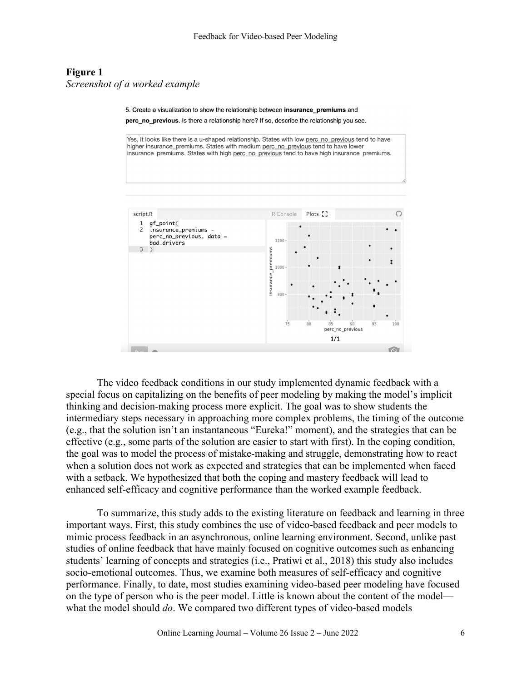### **Figure 1** *Screenshot of a worked example*

5. Create a visualization to show the relationship between insurance\_premiums and

perc\_no\_previous. Is there a relationship here? If so, describe the relationship you see.

Yes, it looks like there is a u-shaped relationship. States with low perc\_no\_previous tend to have higher insurance premiums. States with medium perc. no. previous tend to have lower insurance\_premiums. States with high perc\_no\_previous tend to have high insurance\_premiums.



The video feedback conditions in our study implemented dynamic feedback with a special focus on capitalizing on the benefits of peer modeling by making the model's implicit thinking and decision-making process more explicit. The goal was to show students the intermediary steps necessary in approaching more complex problems, the timing of the outcome (e.g., that the solution isn't an instantaneous "Eureka!" moment), and the strategies that can be effective (e.g., some parts of the solution are easier to start with first). In the coping condition, the goal was to model the process of mistake-making and struggle, demonstrating how to react when a solution does not work as expected and strategies that can be implemented when faced with a setback. We hypothesized that both the coping and mastery feedback will lead to enhanced self-efficacy and cognitive performance than the worked example feedback.

To summarize, this study adds to the existing literature on feedback and learning in three important ways. First, this study combines the use of video-based feedback and peer models to mimic process feedback in an asynchronous, online learning environment. Second, unlike past studies of online feedback that have mainly focused on cognitive outcomes such as enhancing students' learning of concepts and strategies (i.e., Pratiwi et al., 2018) this study also includes socio-emotional outcomes. Thus, we examine both measures of self-efficacy and cognitive performance. Finally, to date, most studies examining video-based peer modeling have focused on the type of person who is the peer model. Little is known about the content of the model what the model should *do*. We compared two different types of video-based models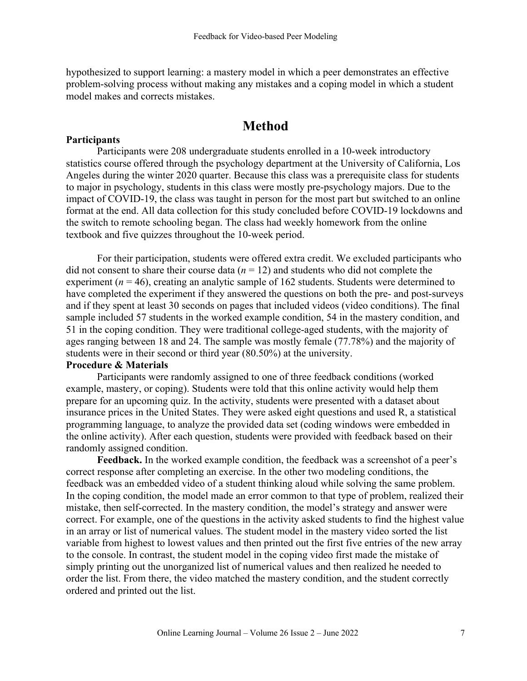hypothesized to support learning: a mastery model in which a peer demonstrates an effective problem-solving process without making any mistakes and a coping model in which a student model makes and corrects mistakes.

# **Method**

#### **Participants**

Participants were 208 undergraduate students enrolled in a 10-week introductory statistics course offered through the psychology department at the University of California, Los Angeles during the winter 2020 quarter. Because this class was a prerequisite class for students to major in psychology, students in this class were mostly pre-psychology majors. Due to the impact of COVID-19, the class was taught in person for the most part but switched to an online format at the end. All data collection for this study concluded before COVID-19 lockdowns and the switch to remote schooling began. The class had weekly homework from the online textbook and five quizzes throughout the 10-week period.

For their participation, students were offered extra credit. We excluded participants who did not consent to share their course data  $(n = 12)$  and students who did not complete the experiment ( $n = 46$ ), creating an analytic sample of 162 students. Students were determined to have completed the experiment if they answered the questions on both the pre- and post-surveys and if they spent at least 30 seconds on pages that included videos (video conditions). The final sample included 57 students in the worked example condition, 54 in the mastery condition, and 51 in the coping condition. They were traditional college-aged students, with the majority of ages ranging between 18 and 24. The sample was mostly female (77.78%) and the majority of students were in their second or third year (80.50%) at the university.

#### **Procedure & Materials**

Participants were randomly assigned to one of three feedback conditions (worked example, mastery, or coping). Students were told that this online activity would help them prepare for an upcoming quiz. In the activity, students were presented with a dataset about insurance prices in the United States. They were asked eight questions and used R, a statistical programming language, to analyze the provided data set (coding windows were embedded in the online activity). After each question, students were provided with feedback based on their randomly assigned condition.

**Feedback.** In the worked example condition, the feedback was a screenshot of a peer's correct response after completing an exercise. In the other two modeling conditions, the feedback was an embedded video of a student thinking aloud while solving the same problem. In the coping condition, the model made an error common to that type of problem, realized their mistake, then self-corrected. In the mastery condition, the model's strategy and answer were correct. For example, one of the questions in the activity asked students to find the highest value in an array or list of numerical values. The student model in the mastery video sorted the list variable from highest to lowest values and then printed out the first five entries of the new array to the console. In contrast, the student model in the coping video first made the mistake of simply printing out the unorganized list of numerical values and then realized he needed to order the list. From there, the video matched the mastery condition, and the student correctly ordered and printed out the list.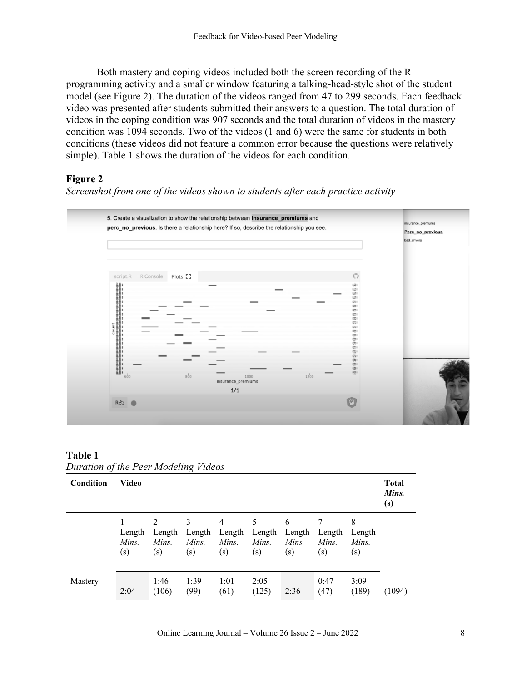Both mastery and coping videos included both the screen recording of the R programming activity and a smaller window featuring a talking-head-style shot of the student model (see Figure 2). The duration of the videos ranged from 47 to 299 seconds. Each feedback video was presented after students submitted their answers to a question. The total duration of videos in the coping condition was 907 seconds and the total duration of videos in the mastery condition was 1094 seconds. Two of the videos (1 and 6) were the same for students in both conditions (these videos did not feature a common error because the questions were relatively simple). Table 1 shows the duration of the videos for each condition.

### **Figure 2**

*Screenshot from one of the videos shown to students after each practice activity*



| Table 1                              |  |
|--------------------------------------|--|
| Duration of the Peer Modeling Videos |  |

| Condition | <b>Video</b>           |                                          |                             |                                          |                             |                             |                        |                             |        |
|-----------|------------------------|------------------------------------------|-----------------------------|------------------------------------------|-----------------------------|-----------------------------|------------------------|-----------------------------|--------|
|           | Length<br>Mins.<br>(s) | $\mathfrak{D}$<br>Length<br>Mins.<br>(s) | 3<br>Length<br>Mins.<br>(s) | $\overline{4}$<br>Length<br>Mins.<br>(s) | 5<br>Length<br>Mins.<br>(s) | 6<br>Length<br>Mins.<br>(s) | Length<br>Mins.<br>(s) | 8<br>Length<br>Mins.<br>(s) |        |
| Mastery   | 2:04                   | 1:46<br>(106)                            | 1:39<br>(99)                | 1:01<br>(61)                             | 2:05<br>(125)               | 2:36                        | 0:47<br>(47)           | 3:09<br>(189)               | (1094) |

Online Learning Journal – Volume 26 Issue 2 – June 2022 8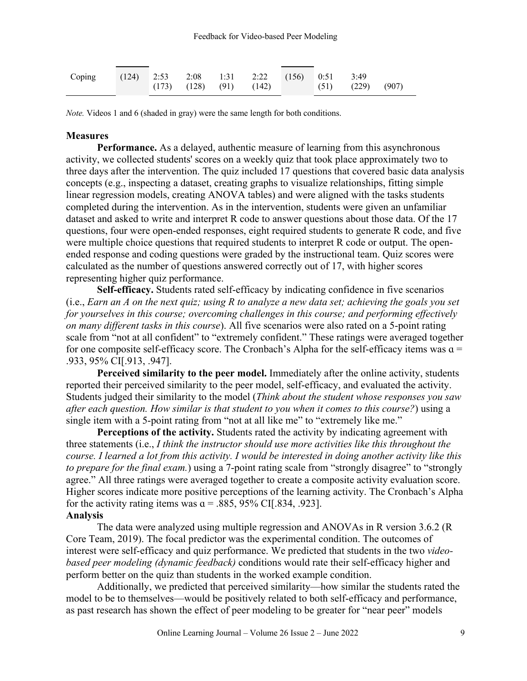| Coping (124) 2:53 2:08 1:31 2:22 (156) 0:51 3:49 |  |  |  |                                                       |  |
|--------------------------------------------------|--|--|--|-------------------------------------------------------|--|
|                                                  |  |  |  | $(173)$ $(128)$ $(91)$ $(142)$ $(51)$ $(229)$ $(907)$ |  |
|                                                  |  |  |  |                                                       |  |

*Note.* Videos 1 and 6 (shaded in gray) were the same length for both conditions.

#### **Measures**

**Performance.** As a delayed, authentic measure of learning from this asynchronous activity, we collected students' scores on a weekly quiz that took place approximately two to three days after the intervention. The quiz included 17 questions that covered basic data analysis concepts (e.g., inspecting a dataset, creating graphs to visualize relationships, fitting simple linear regression models, creating ANOVA tables) and were aligned with the tasks students completed during the intervention. As in the intervention, students were given an unfamiliar dataset and asked to write and interpret R code to answer questions about those data. Of the 17 questions, four were open-ended responses, eight required students to generate R code, and five were multiple choice questions that required students to interpret R code or output. The openended response and coding questions were graded by the instructional team. Quiz scores were calculated as the number of questions answered correctly out of 17, with higher scores representing higher quiz performance.

**Self-efficacy.** Students rated self-efficacy by indicating confidence in five scenarios (i.e., *Earn an A on the next quiz; using R to analyze a new data set; achieving the goals you set for yourselves in this course; overcoming challenges in this course; and performing effectively on many different tasks in this course*). All five scenarios were also rated on a 5-point rating scale from "not at all confident" to "extremely confident." These ratings were averaged together for one composite self-efficacy score. The Cronbach's Alpha for the self-efficacy items was  $a =$ .933, 95% CI[.913, .947].

**Perceived similarity to the peer model.** Immediately after the online activity, students reported their perceived similarity to the peer model, self-efficacy, and evaluated the activity. Students judged their similarity to the model (*Think about the student whose responses you saw after each question. How similar is that student to you when it comes to this course?*) using a single item with a 5-point rating from "not at all like me" to "extremely like me."

**Perceptions of the activity.** Students rated the activity by indicating agreement with three statements (i.e., *I think the instructor should use more activities like this throughout the course. I learned a lot from this activity. I would be interested in doing another activity like this to prepare for the final exam.*) using a 7-point rating scale from "strongly disagree" to "strongly agree." All three ratings were averaged together to create a composite activity evaluation score. Higher scores indicate more positive perceptions of the learning activity. The Cronbach's Alpha for the activity rating items was  $\alpha = .885, 95\%$  CI[.834, .923].

#### **Analysis**

The data were analyzed using multiple regression and ANOVAs in R version 3.6.2 (R Core Team, 2019). The focal predictor was the experimental condition. The outcomes of interest were self-efficacy and quiz performance. We predicted that students in the two *videobased peer modeling (dynamic feedback)* conditions would rate their self-efficacy higher and perform better on the quiz than students in the worked example condition.

Additionally, we predicted that perceived similarity—how similar the students rated the model to be to themselves—would be positively related to both self-efficacy and performance, as past research has shown the effect of peer modeling to be greater for "near peer" models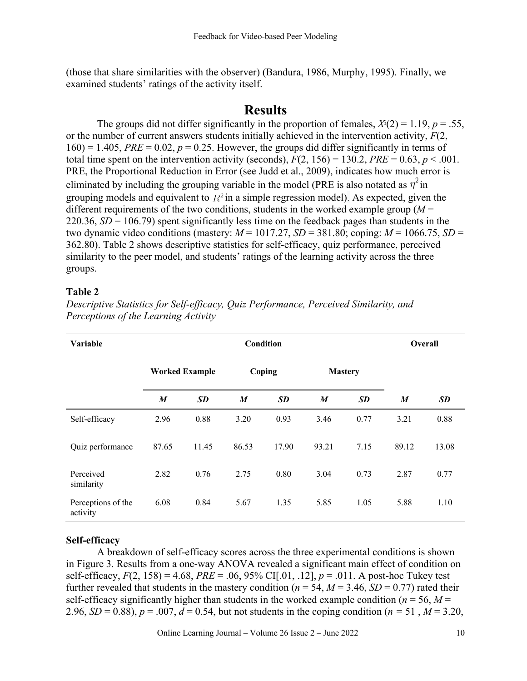(those that share similarities with the observer) (Bandura, 1986, Murphy, 1995). Finally, we examined students' ratings of the activity itself.

## **Results**

The groups did not differ significantly in the proportion of females,  $X(2) = 1.19$ ,  $p = .55$ , or the number of current answers students initially achieved in the intervention activity, *F*(2,  $160$ ) = 1.405, *PRE* = 0.02,  $p = 0.25$ . However, the groups did differ significantly in terms of total time spent on the intervention activity (seconds),  $F(2, 156) = 130.2$ ,  $PRE = 0.63$ ,  $p < .001$ . PRE, the Proportional Reduction in Error (see Judd et al., 2009), indicates how much error is eliminated by including the grouping variable in the model (PRE is also notated as  $\eta^2$  in grouping models and equivalent to  $R^2$  in a simple regression model). As expected, given the different requirements of the two conditions, students in the worked example group  $(M =$ 220.36, *SD* = 106.79) spent significantly less time on the feedback pages than students in the two dynamic video conditions (mastery:  $M = 1017.27$ ,  $SD = 381.80$ ; coping:  $M = 1066.75$ ,  $SD =$ 362.80). Table 2 shows descriptive statistics for self-efficacy, quiz performance, perceived similarity to the peer model, and students' ratings of the learning activity across the three groups.

#### **Table 2**

| Variable                       |                       | Overall |                  |           |                  |           |       |           |
|--------------------------------|-----------------------|---------|------------------|-----------|------------------|-----------|-------|-----------|
|                                | <b>Worked Example</b> |         | Coping           |           | <b>Mastery</b>   |           |       |           |
|                                | $\boldsymbol{M}$      | SD      | $\boldsymbol{M}$ | <b>SD</b> | $\boldsymbol{M}$ | <b>SD</b> | M     | <b>SD</b> |
| Self-efficacy                  | 2.96                  | 0.88    | 3.20             | 0.93      | 3.46             | 0.77      | 3.21  | 0.88      |
| Quiz performance               | 87.65                 | 11.45   | 86.53            | 17.90     | 93.21            | 7.15      | 89.12 | 13.08     |
| Perceived<br>similarity        | 2.82                  | 0.76    | 2.75             | 0.80      | 3.04             | 0.73      | 2.87  | 0.77      |
| Perceptions of the<br>activity | 6.08                  | 0.84    | 5.67             | 1.35      | 5.85             | 1.05      | 5.88  | 1.10      |

*Descriptive Statistics for Self-efficacy, Quiz Performance, Perceived Similarity, and Perceptions of the Learning Activity*

#### **Self-efficacy**

A breakdown of self-efficacy scores across the three experimental conditions is shown in Figure 3. Results from a one-way ANOVA revealed a significant main effect of condition on self-efficacy, *F*(2, 158) = 4.68, *PRE* = .06, 95% CI[.01, .12], *p* = .011. A post-hoc Tukey test further revealed that students in the mastery condition ( $n = 54$ ,  $M = 3.46$ ,  $SD = 0.77$ ) rated their self-efficacy significantly higher than students in the worked example condition ( $n = 56$ ,  $M =$ 2.96, *SD* = 0.88),  $p = .007$ ,  $d = 0.54$ , but not students in the coping condition ( $n = 51$ ,  $M = 3.20$ ,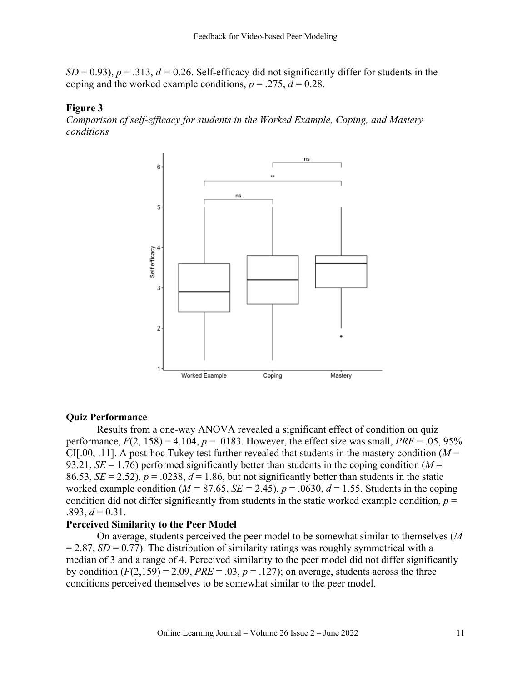$SD = 0.93$ ),  $p = .313$ ,  $d = 0.26$ . Self-efficacy did not significantly differ for students in the coping and the worked example conditions,  $p = .275$ ,  $d = 0.28$ .

#### **Figure 3**

*Comparison of self-efficacy for students in the Worked Example, Coping, and Mastery conditions*



#### **Quiz Performance**

Results from a one-way ANOVA revealed a significant effect of condition on quiz performance,  $F(2, 158) = 4.104$ ,  $p = .0183$ . However, the effect size was small,  $PRE = .05, 95\%$ CI[.00, .11]. A post-hoc Tukey test further revealed that students in the mastery condition  $(M =$ 93.21,  $SE = 1.76$ ) performed significantly better than students in the coping condition ( $M =$ 86.53,  $SE = 2.52$ ),  $p = .0238$ ,  $d = 1.86$ , but not significantly better than students in the static worked example condition ( $M = 87.65$ ,  $SE = 2.45$ ),  $p = .0630$ ,  $d = 1.55$ . Students in the coping condition did not differ significantly from students in the static worked example condition,  $p =$  $.893, d = 0.31.$ 

#### **Perceived Similarity to the Peer Model**

On average, students perceived the peer model to be somewhat similar to themselves (*M*  $= 2.87$ , *SD* = 0.77). The distribution of similarity ratings was roughly symmetrical with a median of 3 and a range of 4. Perceived similarity to the peer model did not differ significantly by condition  $(F(2,159) = 2.09$ ,  $PRE = .03$ ,  $p = .127$ ); on average, students across the three conditions perceived themselves to be somewhat similar to the peer model.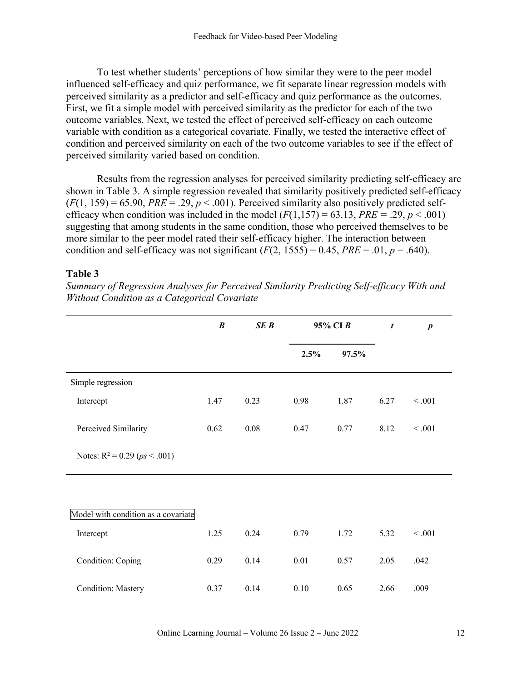To test whether students' perceptions of how similar they were to the peer model influenced self-efficacy and quiz performance, we fit separate linear regression models with perceived similarity as a predictor and self-efficacy and quiz performance as the outcomes. First, we fit a simple model with perceived similarity as the predictor for each of the two outcome variables. Next, we tested the effect of perceived self-efficacy on each outcome variable with condition as a categorical covariate. Finally, we tested the interactive effect of condition and perceived similarity on each of the two outcome variables to see if the effect of perceived similarity varied based on condition.

Results from the regression analyses for perceived similarity predicting self-efficacy are shown in Table 3. A simple regression revealed that similarity positively predicted self-efficacy  $(F(1, 159) = 65.90$ , *PRE* = .29,  $p < .001$ ). Perceived similarity also positively predicted selfefficacy when condition was included in the model  $(F(1,157) = 63.13, PRE = .29, p < .001)$ suggesting that among students in the same condition, those who perceived themselves to be more similar to the peer model rated their self-efficacy higher. The interaction between condition and self-efficacy was not significant  $(F(2, 1555) = 0.45, PRE = .01, p = .640)$ .

#### **Table 3**

*Summary of Regression Analyses for Perceived Similarity Predicting Self-efficacy With and Without Condition as a Categorical Covariate*

|                                     | $\boldsymbol{B}$ | <b>SEB</b> | 95% CIB |       | t    | $\boldsymbol{p}$ |
|-------------------------------------|------------------|------------|---------|-------|------|------------------|
|                                     |                  |            | 2.5%    | 97.5% |      |                  |
| Simple regression                   |                  |            |         |       |      |                  |
| Intercept                           | 1.47             | 0.23       | 0.98    | 1.87  | 6.27 | < 0.001          |
| Perceived Similarity                | 0.62             | $0.08\,$   | 0.47    | 0.77  | 8.12 | < 0.001          |
| Notes: $R^2 = 0.29$ ( $ps < .001$ ) |                  |            |         |       |      |                  |
|                                     |                  |            |         |       |      |                  |
| Model with condition as a covariate |                  |            |         |       |      |                  |
| Intercept                           | 1.25             | 0.24       | 0.79    | 1.72  | 5.32 | < .001           |
| Condition: Coping                   | 0.29             | 0.14       | 0.01    | 0.57  | 2.05 | .042             |
| <b>Condition: Mastery</b>           | 0.37             | 0.14       | 0.10    | 0.65  | 2.66 | .009             |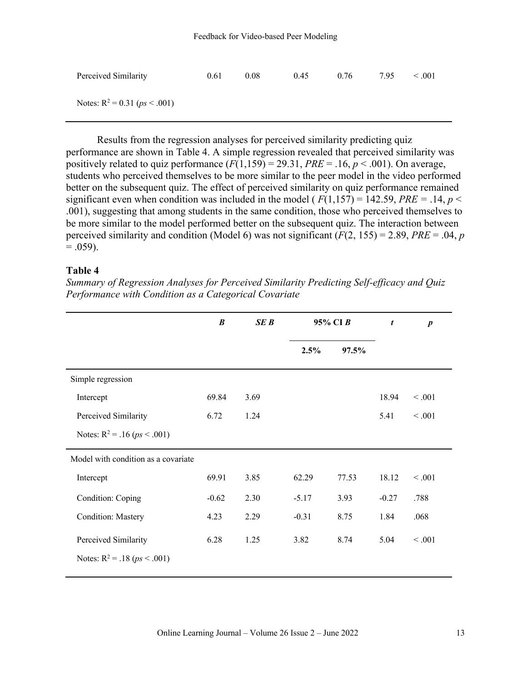| Perceived Similarity            | 0.61 | 0.08 | 0.45 | 0.76 | 7.95 | $\leq .001$ |
|---------------------------------|------|------|------|------|------|-------------|
| Notes: $R^2 = 0.31$ (ps < .001) |      |      |      |      |      |             |

Results from the regression analyses for perceived similarity predicting quiz performance are shown in Table 4. A simple regression revealed that perceived similarity was positively related to quiz performance  $(F(1,159) = 29.31, PRE = .16, p < .001)$ . On average, students who perceived themselves to be more similar to the peer model in the video performed better on the subsequent quiz. The effect of perceived similarity on quiz performance remained significant even when condition was included in the model ( $F(1,157) = 142.59$ ,  $PRE = .14$ ,  $p <$ .001), suggesting that among students in the same condition, those who perceived themselves to be more similar to the model performed better on the subsequent quiz. The interaction between perceived similarity and condition (Model 6) was not significant (*F*(2, 155) = 2.89, *PRE* = .04, *p*  $= .059$ ).

#### **Table 4**

*Summary of Regression Analyses for Perceived Similarity Predicting Self-efficacy and Quiz Performance with Condition as a Categorical Covariate*

|                                     | B       | SE B | 95% CIB |       | $\boldsymbol{t}$ | $\boldsymbol{p}$ |
|-------------------------------------|---------|------|---------|-------|------------------|------------------|
|                                     |         |      | 2.5%    | 97.5% |                  |                  |
| Simple regression                   |         |      |         |       |                  |                  |
| Intercept                           | 69.84   | 3.69 |         |       | 18.94            | < 0.001          |
| Perceived Similarity                | 6.72    | 1.24 |         |       | 5.41             | < 0.001          |
| Notes: $R^2 = .16 (ps < .001)$      |         |      |         |       |                  |                  |
| Model with condition as a covariate |         |      |         |       |                  |                  |
| Intercept                           | 69.91   | 3.85 | 62.29   | 77.53 | 18.12            | < 0.001          |
| Condition: Coping                   | $-0.62$ | 2.30 | $-5.17$ | 3.93  | $-0.27$          | .788             |
| <b>Condition: Mastery</b>           | 4.23    | 2.29 | $-0.31$ | 8.75  | 1.84             | .068             |
| Perceived Similarity                | 6.28    | 1.25 | 3.82    | 8.74  | 5.04             | < 0.001          |
| Notes: $R^2 = .18$ ( $ps < .001$ )  |         |      |         |       |                  |                  |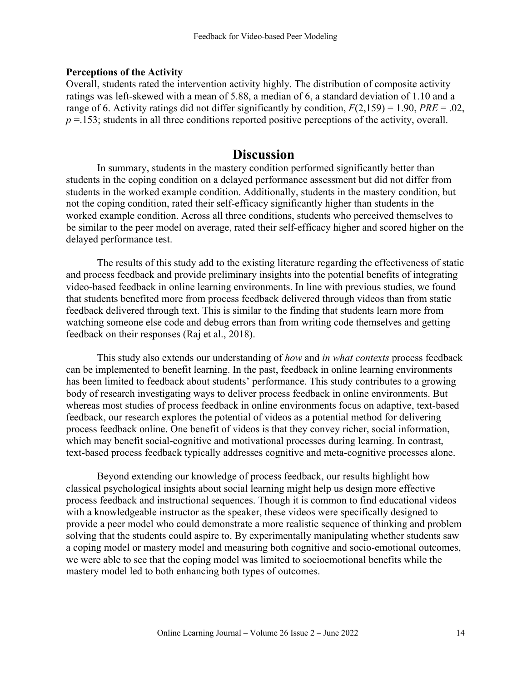#### **Perceptions of the Activity**

Overall, students rated the intervention activity highly. The distribution of composite activity ratings was left-skewed with a mean of 5.88, a median of 6, a standard deviation of 1.10 and a range of 6. Activity ratings did not differ significantly by condition, *F*(2,159) = 1.90, *PRE* = .02,  $p = 153$ ; students in all three conditions reported positive perceptions of the activity, overall.

# **Discussion**

In summary, students in the mastery condition performed significantly better than students in the coping condition on a delayed performance assessment but did not differ from students in the worked example condition. Additionally, students in the mastery condition, but not the coping condition, rated their self-efficacy significantly higher than students in the worked example condition. Across all three conditions, students who perceived themselves to be similar to the peer model on average, rated their self-efficacy higher and scored higher on the delayed performance test.

The results of this study add to the existing literature regarding the effectiveness of static and process feedback and provide preliminary insights into the potential benefits of integrating video-based feedback in online learning environments. In line with previous studies, we found that students benefited more from process feedback delivered through videos than from static feedback delivered through text. This is similar to the finding that students learn more from watching someone else code and debug errors than from writing code themselves and getting feedback on their responses (Raj et al., 2018).

This study also extends our understanding of *how* and *in what contexts* process feedback can be implemented to benefit learning. In the past, feedback in online learning environments has been limited to feedback about students' performance. This study contributes to a growing body of research investigating ways to deliver process feedback in online environments. But whereas most studies of process feedback in online environments focus on adaptive, text-based feedback, our research explores the potential of videos as a potential method for delivering process feedback online. One benefit of videos is that they convey richer, social information, which may benefit social-cognitive and motivational processes during learning. In contrast, text-based process feedback typically addresses cognitive and meta-cognitive processes alone.

Beyond extending our knowledge of process feedback, our results highlight how classical psychological insights about social learning might help us design more effective process feedback and instructional sequences. Though it is common to find educational videos with a knowledgeable instructor as the speaker, these videos were specifically designed to provide a peer model who could demonstrate a more realistic sequence of thinking and problem solving that the students could aspire to. By experimentally manipulating whether students saw a coping model or mastery model and measuring both cognitive and socio-emotional outcomes, we were able to see that the coping model was limited to socioemotional benefits while the mastery model led to both enhancing both types of outcomes.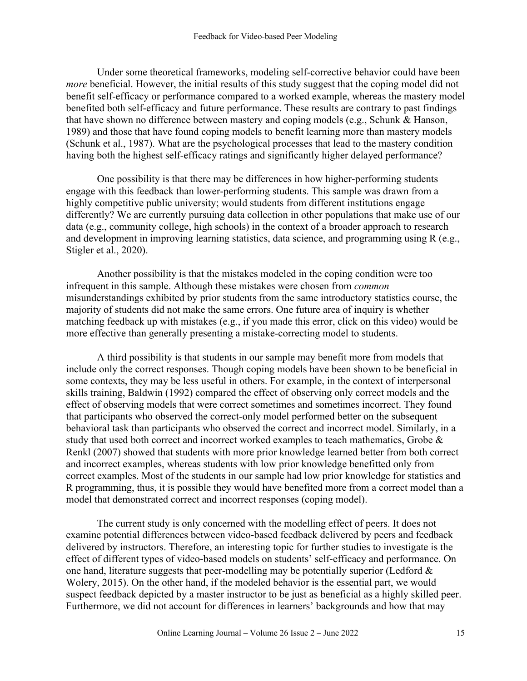Under some theoretical frameworks, modeling self-corrective behavior could have been *more* beneficial. However, the initial results of this study suggest that the coping model did not benefit self-efficacy or performance compared to a worked example, whereas the mastery model benefited both self-efficacy and future performance. These results are contrary to past findings that have shown no difference between mastery and coping models (e.g., Schunk & Hanson, 1989) and those that have found coping models to benefit learning more than mastery models (Schunk et al., 1987). What are the psychological processes that lead to the mastery condition having both the highest self-efficacy ratings and significantly higher delayed performance?

One possibility is that there may be differences in how higher-performing students engage with this feedback than lower-performing students. This sample was drawn from a highly competitive public university; would students from different institutions engage differently? We are currently pursuing data collection in other populations that make use of our data (e.g., community college, high schools) in the context of a broader approach to research and development in improving learning statistics, data science, and programming using R (e.g., Stigler et al., 2020).

Another possibility is that the mistakes modeled in the coping condition were too infrequent in this sample. Although these mistakes were chosen from *common* misunderstandings exhibited by prior students from the same introductory statistics course, the majority of students did not make the same errors. One future area of inquiry is whether matching feedback up with mistakes (e.g., if you made this error, click on this video) would be more effective than generally presenting a mistake-correcting model to students.

A third possibility is that students in our sample may benefit more from models that include only the correct responses. Though coping models have been shown to be beneficial in some contexts, they may be less useful in others. For example, in the context of interpersonal skills training, Baldwin (1992) compared the effect of observing only correct models and the effect of observing models that were correct sometimes and sometimes incorrect. They found that participants who observed the correct-only model performed better on the subsequent behavioral task than participants who observed the correct and incorrect model. Similarly, in a study that used both correct and incorrect worked examples to teach mathematics, Grobe & Renkl (2007) showed that students with more prior knowledge learned better from both correct and incorrect examples, whereas students with low prior knowledge benefitted only from correct examples. Most of the students in our sample had low prior knowledge for statistics and R programming, thus, it is possible they would have benefited more from a correct model than a model that demonstrated correct and incorrect responses (coping model).

The current study is only concerned with the modelling effect of peers. It does not examine potential differences between video-based feedback delivered by peers and feedback delivered by instructors. Therefore, an interesting topic for further studies to investigate is the effect of different types of video-based models on students' self-efficacy and performance. On one hand, literature suggests that peer-modelling may be potentially superior (Ledford  $\&$ Wolery, 2015). On the other hand, if the modeled behavior is the essential part, we would suspect feedback depicted by a master instructor to be just as beneficial as a highly skilled peer. Furthermore, we did not account for differences in learners' backgrounds and how that may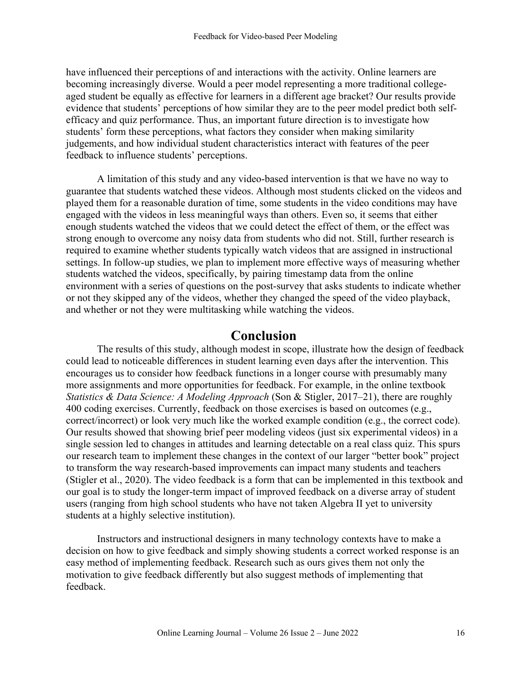have influenced their perceptions of and interactions with the activity. Online learners are becoming increasingly diverse. Would a peer model representing a more traditional collegeaged student be equally as effective for learners in a different age bracket? Our results provide evidence that students' perceptions of how similar they are to the peer model predict both selfefficacy and quiz performance. Thus, an important future direction is to investigate how students' form these perceptions, what factors they consider when making similarity judgements, and how individual student characteristics interact with features of the peer feedback to influence students' perceptions.

A limitation of this study and any video-based intervention is that we have no way to guarantee that students watched these videos. Although most students clicked on the videos and played them for a reasonable duration of time, some students in the video conditions may have engaged with the videos in less meaningful ways than others. Even so, it seems that either enough students watched the videos that we could detect the effect of them, or the effect was strong enough to overcome any noisy data from students who did not. Still, further research is required to examine whether students typically watch videos that are assigned in instructional settings. In follow-up studies, we plan to implement more effective ways of measuring whether students watched the videos, specifically, by pairing timestamp data from the online environment with a series of questions on the post-survey that asks students to indicate whether or not they skipped any of the videos, whether they changed the speed of the video playback, and whether or not they were multitasking while watching the videos.

# **Conclusion**

The results of this study, although modest in scope, illustrate how the design of feedback could lead to noticeable differences in student learning even days after the intervention. This encourages us to consider how feedback functions in a longer course with presumably many more assignments and more opportunities for feedback. For example, in the online textbook *Statistics & Data Science: A Modeling Approach* (Son & Stigler, 2017–21), there are roughly 400 coding exercises. Currently, feedback on those exercises is based on outcomes (e.g., correct/incorrect) or look very much like the worked example condition (e.g., the correct code). Our results showed that showing brief peer modeling videos (just six experimental videos) in a single session led to changes in attitudes and learning detectable on a real class quiz. This spurs our research team to implement these changes in the context of our larger "better book" project to transform the way research-based improvements can impact many students and teachers (Stigler et al., 2020). The video feedback is a form that can be implemented in this textbook and our goal is to study the longer-term impact of improved feedback on a diverse array of student users (ranging from high school students who have not taken Algebra II yet to university students at a highly selective institution).

Instructors and instructional designers in many technology contexts have to make a decision on how to give feedback and simply showing students a correct worked response is an easy method of implementing feedback. Research such as ours gives them not only the motivation to give feedback differently but also suggest methods of implementing that feedback.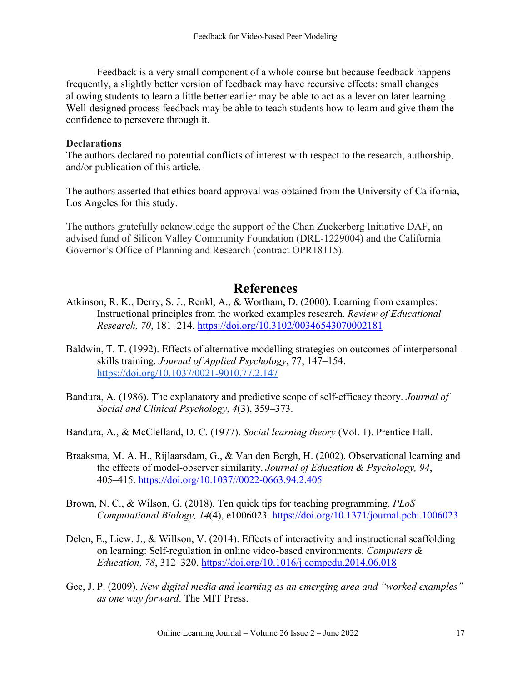Feedback is a very small component of a whole course but because feedback happens frequently, a slightly better version of feedback may have recursive effects: small changes allowing students to learn a little better earlier may be able to act as a lever on later learning. Well-designed process feedback may be able to teach students how to learn and give them the confidence to persevere through it.

#### **Declarations**

The authors declared no potential conflicts of interest with respect to the research, authorship, and/or publication of this article.

The authors asserted that ethics board approval was obtained from the University of California, Los Angeles for this study.

The authors gratefully acknowledge the support of the Chan Zuckerberg Initiative DAF, an advised fund of Silicon Valley Community Foundation (DRL-1229004) and the California Governor's Office of Planning and Research (contract OPR18115).

# **References**

- Atkinson, R. K., Derry, S. J., Renkl, A., & Wortham, D. (2000). Learning from examples: Instructional principles from the worked examples research. *Review of Educational Research, 70*, 181–214. https://doi.org/10.3102/00346543070002181
- Baldwin, T. T. (1992). Effects of alternative modelling strategies on outcomes of interpersonalskills training. *Journal of Applied Psychology*, 77, 147–154. https://doi.org/10.1037/0021-9010.77.2.147
- Bandura, A. (1986). The explanatory and predictive scope of self-efficacy theory. *Journal of Social and Clinical Psychology*, *4*(3), 359–373.
- Bandura, A., & McClelland, D. C. (1977). *Social learning theory* (Vol. 1). Prentice Hall.
- Braaksma, M. A. H., Rijlaarsdam, G., & Van den Bergh, H. (2002). Observational learning and the effects of model-observer similarity. *Journal of Education & Psychology, 94*, 405–415. https://doi.org/10.1037//0022-0663.94.2.405
- Brown, N. C., & Wilson, G. (2018). Ten quick tips for teaching programming. *PLoS Computational Biology, 14*(4), e1006023. https://doi.org/10.1371/journal.pcbi.1006023
- Delen, E., Liew, J., & Willson, V. (2014). Effects of interactivity and instructional scaffolding on learning: Self-regulation in online video-based environments. *Computers & Education, 78*, 312–320. https://doi.org/10.1016/j.compedu.2014.06.018
- Gee, J. P. (2009). *New digital media and learning as an emerging area and "worked examples" as one way forward*. The MIT Press.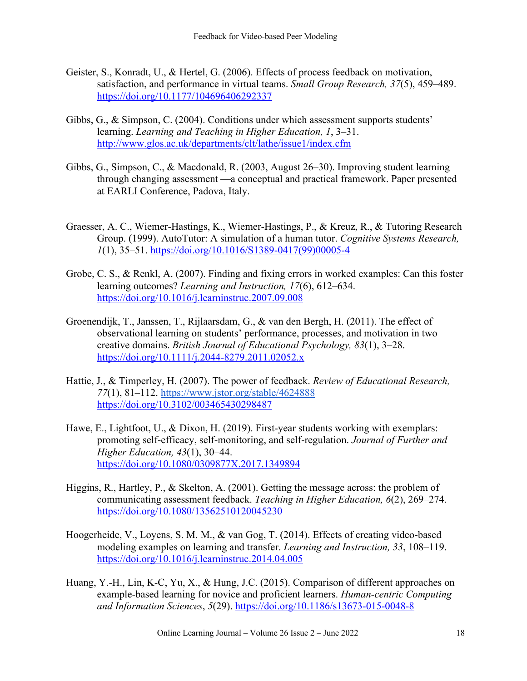- Geister, S., Konradt, U., & Hertel, G. (2006). Effects of process feedback on motivation, satisfaction, and performance in virtual teams. *Small Group Research, 37*(5), 459–489. https://doi.org/10.1177/104696406292337
- Gibbs, G., & Simpson, C. (2004). Conditions under which assessment supports students' learning. *Learning and Teaching in Higher Education, 1*, 3–31. http://www.glos.ac.uk/departments/clt/lathe/issue1/index.cfm
- Gibbs, G., Simpson, C., & Macdonald, R. (2003, August 26–30). Improving student learning through changing assessment —a conceptual and practical framework. Paper presented at EARLI Conference, Padova, Italy.
- Graesser, A. C., Wiemer-Hastings, K., Wiemer-Hastings, P., & Kreuz, R., & Tutoring Research Group. (1999). AutoTutor: A simulation of a human tutor. *Cognitive Systems Research, 1*(1), 35–51. https://doi.org/10.1016/S1389-0417(99)00005-4
- Grobe, C. S., & Renkl, A. (2007). Finding and fixing errors in worked examples: Can this foster learning outcomes? *Learning and Instruction, 17*(6), 612–634. https://doi.org/10.1016/j.learninstruc.2007.09.008
- Groenendijk, T., Janssen, T., Rijlaarsdam, G., & van den Bergh, H. (2011). The effect of observational learning on students' performance, processes, and motivation in two creative domains. *British Journal of Educational Psychology, 83*(1), 3–28. https://doi.org/10.1111/j.2044-8279.2011.02052.x
- Hattie, J., & Timperley, H. (2007). The power of feedback. *Review of Educational Research, 77*(1), 81–112. https://www.jstor.org/stable/4624888 https://doi.org/10.3102/003465430298487
- Hawe, E., Lightfoot, U., & Dixon, H. (2019). First-year students working with exemplars: promoting self-efficacy, self-monitoring, and self-regulation. *Journal of Further and Higher Education, 43*(1), 30–44. https://doi.org/10.1080/0309877X.2017.1349894
- Higgins, R., Hartley, P., & Skelton, A. (2001). Getting the message across: the problem of communicating assessment feedback. *Teaching in Higher Education, 6*(2), 269–274. https://doi.org/10.1080/13562510120045230
- Hoogerheide, V., Loyens, S. M. M., & van Gog, T. (2014). Effects of creating video-based modeling examples on learning and transfer. *Learning and Instruction, 33*, 108–119. https://doi.org/10.1016/j.learninstruc.2014.04.005
- Huang, Y.-H., Lin, K-C, Yu, X., & Hung, J.C. (2015). Comparison of different approaches on example-based learning for novice and proficient learners. *Human-centric Computing and Information Sciences*, *5*(29). https://doi.org/10.1186/s13673-015-0048-8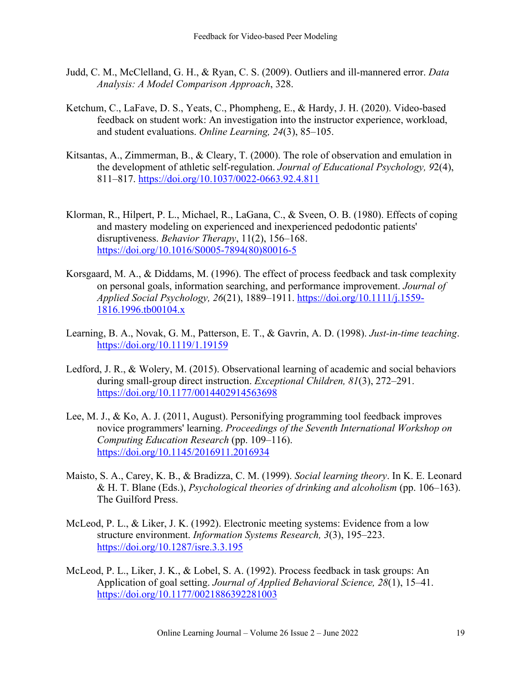- Judd, C. M., McClelland, G. H., & Ryan, C. S. (2009). Outliers and ill-mannered error. *Data Analysis: A Model Comparison Approach*, 328.
- Ketchum, C., LaFave, D. S., Yeats, C., Phompheng, E., & Hardy, J. H. (2020). Video-based feedback on student work: An investigation into the instructor experience, workload, and student evaluations. *Online Learning, 24*(3), 85–105.
- Kitsantas, A., Zimmerman, B., & Cleary, T. (2000). The role of observation and emulation in the development of athletic self-regulation. *Journal of Educational Psychology, 9*2(4), 811–817. https://doi.org/10.1037/0022-0663.92.4.811
- Klorman, R., Hilpert, P. L., Michael, R., LaGana, C., & Sveen, O. B. (1980). Effects of coping and mastery modeling on experienced and inexperienced pedodontic patients' disruptiveness. *Behavior Therapy*, 11(2), 156–168. https://doi.org/10.1016/S0005-7894(80)80016-5
- Korsgaard, M. A., & Diddams, M. (1996). The effect of process feedback and task complexity on personal goals, information searching, and performance improvement. *Journal of Applied Social Psychology, 26*(21), 1889–1911. https://doi.org/10.1111/j.1559- 1816.1996.tb00104.x
- Learning, B. A., Novak, G. M., Patterson, E. T., & Gavrin, A. D. (1998). *Just-in-time teaching*. https://doi.org/10.1119/1.19159
- Ledford, J. R., & Wolery, M. (2015). Observational learning of academic and social behaviors during small-group direct instruction. *Exceptional Children, 81*(3), 272–291. https://doi.org/10.1177/0014402914563698
- Lee, M. J., & Ko, A. J. (2011, August). Personifying programming tool feedback improves novice programmers' learning. *Proceedings of the Seventh International Workshop on Computing Education Research* (pp. 109–116). https://doi.org/10.1145/2016911.2016934
- Maisto, S. A., Carey, K. B., & Bradizza, C. M. (1999). *Social learning theory*. In K. E. Leonard & H. T. Blane (Eds.), *Psychological theories of drinking and alcoholism* (pp. 106–163). The Guilford Press.
- McLeod, P. L., & Liker, J. K. (1992). Electronic meeting systems: Evidence from a low structure environment. *Information Systems Research, 3*(3), 195–223. https://doi.org/10.1287/isre.3.3.195
- McLeod, P. L., Liker, J. K., & Lobel, S. A. (1992). Process feedback in task groups: An Application of goal setting. *Journal of Applied Behavioral Science, 28*(1), 15–41. https://doi.org/10.1177/0021886392281003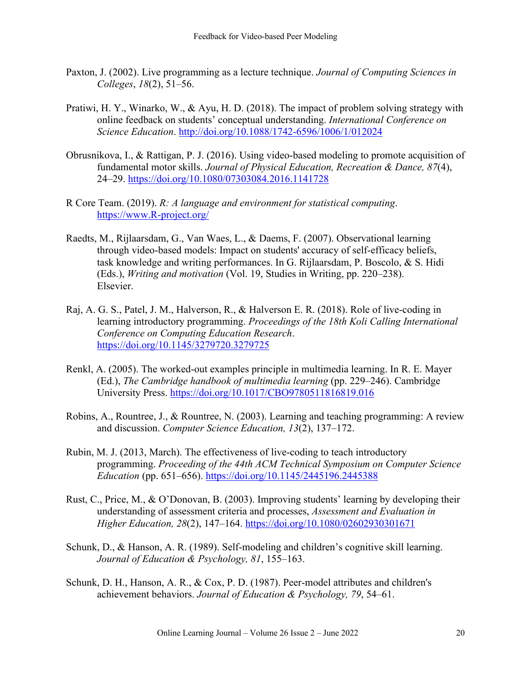- Paxton, J. (2002). Live programming as a lecture technique. *Journal of Computing Sciences in Colleges*, *18*(2), 51–56.
- Pratiwi, H. Y., Winarko, W., & Ayu, H. D. (2018). The impact of problem solving strategy with online feedback on students' conceptual understanding. *International Conference on Science Education*. http://doi.org/10.1088/1742-6596/1006/1/012024
- Obrusnikova, I., & Rattigan, P. J. (2016). Using video-based modeling to promote acquisition of fundamental motor skills. *Journal of Physical Education, Recreation & Dance, 87*(4), 24–29. https://doi.org/10.1080/07303084.2016.1141728
- R Core Team. (2019). *R: A language and environment for statistical computing*. https://www.R-project.org/
- Raedts, M., Rijlaarsdam, G., Van Waes, L., & Daems, F. (2007). Observational learning through video-based models: Impact on students' accuracy of self-efficacy beliefs, task knowledge and writing performances. In G. Rijlaarsdam, P. Boscolo, & S. Hidi (Eds.), *Writing and motivation* (Vol. 19, Studies in Writing, pp. 220–238). Elsevier.
- Raj, A. G. S., Patel, J. M., Halverson, R., & Halverson E. R. (2018). Role of live-coding in learning introductory programming. *Proceedings of the 18th Koli Calling International Conference on Computing Education Research*. https://doi.org/10.1145/3279720.3279725
- Renkl, A. (2005). The worked-out examples principle in multimedia learning. In R. E. Mayer (Ed.), *The Cambridge handbook of multimedia learning* (pp. 229–246). Cambridge University Press. https://doi.org/10.1017/CBO9780511816819.016
- Robins, A., Rountree, J., & Rountree, N. (2003). Learning and teaching programming: A review and discussion. *Computer Science Education, 13*(2), 137–172.
- Rubin, M. J. (2013, March). The effectiveness of live-coding to teach introductory programming. *Proceeding of the 44th ACM Technical Symposium on Computer Science Education* (pp. 651–656). https://doi.org/10.1145/2445196.2445388
- Rust, C., Price, M., & O'Donovan, B. (2003). Improving students' learning by developing their understanding of assessment criteria and processes, *Assessment and Evaluation in Higher Education, 28*(2), 147–164. https://doi.org/10.1080/02602930301671
- Schunk, D., & Hanson, A. R. (1989). Self-modeling and children's cognitive skill learning. *Journal of Education & Psychology, 81*, 155–163.
- Schunk, D. H., Hanson, A. R., & Cox, P. D. (1987). Peer-model attributes and children's achievement behaviors. *Journal of Education & Psychology, 79*, 54–61.